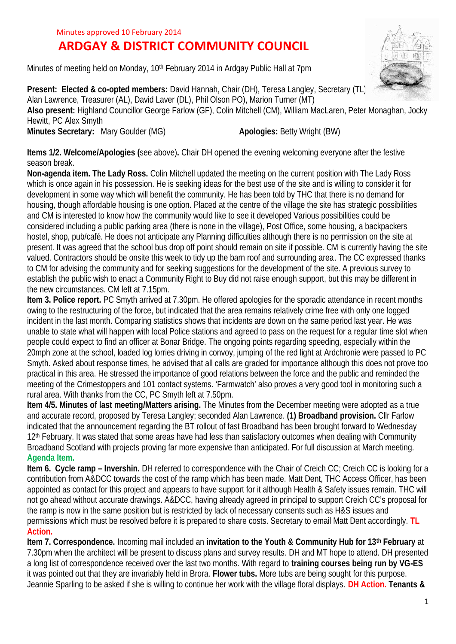## Minutes approved 10 February 2014

## **ARDGAY & DISTRICT COMMUNITY COUNCIL**

Minutes of meeting held on Monday, 10<sup>th</sup> February 2014 in Ardgay Public Hall at 7pm



**Present: Elected & co-opted members:** David Hannah, Chair (DH), Teresa Langley, Secretary (TL), Alan Lawrence, Treasurer (AL), David Laver (DL), Phil Olson PO), Marion Turner (MT) **Also present:** Highland Councillor George Farlow (GF), Colin Mitchell (CM), William MacLaren, Peter Monaghan, Jocky Hewitt, PC Alex Smyth **Minutes Secretary:** Mary Goulder (MG) **Apologies: Betty Wright (BW)** Apologies: Betty Wright (BW)

**Items 1/2. Welcome/Apologies (**see above)**.** Chair DH opened the evening welcoming everyone after the festive season break.

**Non-agenda item. The Lady Ross.** Colin Mitchell updated the meeting on the current position with The Lady Ross which is once again in his possession. He is seeking ideas for the best use of the site and is willing to consider it for development in some way which will benefit the community. He has been told by THC that there is no demand for housing, though affordable housing is one option. Placed at the centre of the village the site has strategic possibilities and CM is interested to know how the community would like to see it developed Various possibilities could be considered including a public parking area (there is none in the village), Post Office, some housing, a backpackers hostel, shop, pub/café. He does not anticipate any Planning difficulties although there is no permission on the site at present. It was agreed that the school bus drop off point should remain on site if possible. CM is currently having the site valued. Contractors should be onsite this week to tidy up the barn roof and surrounding area. The CC expressed thanks to CM for advising the community and for seeking suggestions for the development of the site. A previous survey to establish the public wish to enact a Community Right to Buy did not raise enough support, but this may be different in the new circumstances. CM left at 7.15pm.

**Item 3. Police report.** PC Smyth arrived at 7.30pm. He offered apologies for the sporadic attendance in recent months owing to the restructuring of the force, but indicated that the area remains relatively crime free with only one logged incident in the last month. Comparing statistics shows that incidents are down on the same period last year. He was unable to state what will happen with local Police stations and agreed to pass on the request for a regular time slot when people could expect to find an officer at Bonar Bridge. The ongoing points regarding speeding, especially within the 20mph zone at the school, loaded log lorries driving in convoy, jumping of the red light at Ardchronie were passed to PC Smyth. Asked about response times, he advised that all calls are graded for importance although this does not prove too practical in this area. He stressed the importance of good relations between the force and the public and reminded the meeting of the Crimestoppers and 101 contact systems. 'Farmwatch' also proves a very good tool in monitoring such a rural area. With thanks from the CC, PC Smyth left at 7.50pm.

**Item 4/5. Minutes of last meeting/Matters arising.** The Minutes from the December meeting were adopted as a true and accurate record, proposed by Teresa Langley; seconded Alan Lawrence. **(1) Broadband provision.** Cllr Farlow indicated that the announcement regarding the BT rollout of fast Broadband has been brought forward to Wednesday 12<sup>th</sup> February. It was stated that some areas have had less than satisfactory outcomes when dealing with Community Broadband Scotland with projects proving far more expensive than anticipated. For full discussion at March meeting. **Agenda Item.**

**Item 6. Cycle ramp – Invershin.** DH referred to correspondence with the Chair of Creich CC; Creich CC is looking for a contribution from A&DCC towards the cost of the ramp which has been made. Matt Dent, THC Access Officer, has been appointed as contact for this project and appears to have support for it although Health & Safety issues remain. THC will not go ahead without accurate drawings. A&DCC, having already agreed in principal to support Creich CC's proposal for the ramp is now in the same position but is restricted by lack of necessary consents such as H&S issues and permissions which must be resolved before it is prepared to share costs. Secretary to email Matt Dent accordingly. **TL Action.**

**Item 7. Correspondence.** Incoming mail included an **invitation to the Youth & Community Hub for 13th February** at 7.30pm when the architect will be present to discuss plans and survey results. DH and MT hope to attend. DH presented a long list of correspondence received over the last two months. With regard to **training courses being run by VG-ES** it was pointed out that they are invariably held in Brora. **Flower tubs.** More tubs are being sought for this purpose. Jeannie Sparling to be asked if she is willing to continue her work with the village floral displays. **DH Action. Tenants &**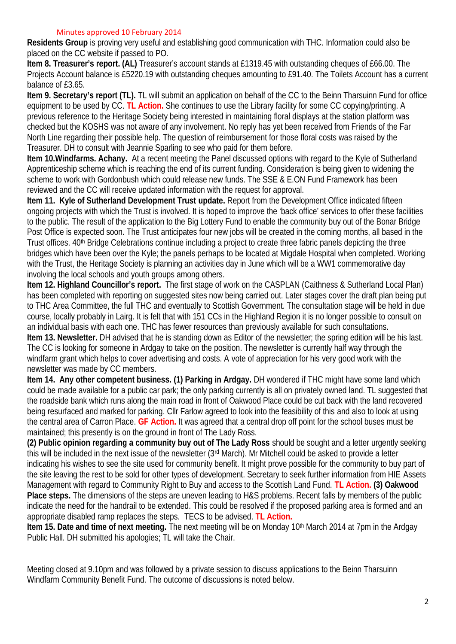## Minutes approved 10 February 2014

**Residents Group** is proving very useful and establishing good communication with THC. Information could also be placed on the CC website if passed to PO.

**Item 8. Treasurer's report. (AL)** Treasurer's account stands at £1319.45 with outstanding cheques of £66.00. The Projects Account balance is £5220.19 with outstanding cheques amounting to £91.40. The Toilets Account has a current balance of £3.65.

**Item 9. Secretary's report (TL).** TL will submit an application on behalf of the CC to the Beinn Tharsuinn Fund for office equipment to be used by CC. **TL Action.** She continues to use the Library facility for some CC copying/printing. A previous reference to the Heritage Society being interested in maintaining floral displays at the station platform was checked but the KOSHS was not aware of any involvement. No reply has yet been received from Friends of the Far North Line regarding their possible help. The question of reimbursement for those floral costs was raised by the Treasurer. DH to consult with Jeannie Sparling to see who paid for them before.

**Item 10.Windfarms. Achany.** At a recent meeting the Panel discussed options with regard to the Kyle of Sutherland Apprenticeship scheme which is reaching the end of its current funding. Consideration is being given to widening the scheme to work with Gordonbush which could release new funds. The SSE & E.ON Fund Framework has been reviewed and the CC will receive updated information with the request for approval.

**Item 11. Kyle of Sutherland Development Trust update.** Report from the Development Office indicated fifteen ongoing projects with which the Trust is involved. It is hoped to improve the 'back office' services to offer these facilities to the public. The result of the application to the Big Lottery Fund to enable the community buy out of the Bonar Bridge Post Office is expected soon. The Trust anticipates four new jobs will be created in the coming months, all based in the Trust offices. 40<sup>th</sup> Bridge Celebrations continue including a project to create three fabric panels depicting the three bridges which have been over the Kyle; the panels perhaps to be located at Migdale Hospital when completed. Working with the Trust, the Heritage Society is planning an activities day in June which will be a WW1 commemorative day involving the local schools and youth groups among others.

**Item 12. Highland Councillor's report.** The first stage of work on the CASPLAN (Caithness & Sutherland Local Plan) has been completed with reporting on suggested sites now being carried out. Later stages cover the draft plan being put to THC Area Committee, the full THC and eventually to Scottish Government. The consultation stage will be held in due course, locally probably in Lairg. It is felt that with 151 CCs in the Highland Region it is no longer possible to consult on an individual basis with each one. THC has fewer resources than previously available for such consultations. **Item 13. Newsletter.** DH advised that he is standing down as Editor of the newsletter; the spring edition will be his last. The CC is looking for someone in Ardgay to take on the position. The newsletter is currently half way through the windfarm grant which helps to cover advertising and costs. A vote of appreciation for his very good work with the newsletter was made by CC members.

**Item 14. Any other competent business. (1) Parking in Ardgay.** DH wondered if THC might have some land which could be made available for a public car park; the only parking currently is all on privately owned land. TL suggested that the roadside bank which runs along the main road in front of Oakwood Place could be cut back with the land recovered being resurfaced and marked for parking. Cllr Farlow agreed to look into the feasibility of this and also to look at using the central area of Carron Place. **GF Action.** It was agreed that a central drop off point for the school buses must be maintained; this presently is on the ground in front of The Lady Ross.

**(2) Public opinion regarding a community buy out of The Lady Ross** should be sought and a letter urgently seeking this will be included in the next issue of the newsletter (3rd March). Mr Mitchell could be asked to provide a letter indicating his wishes to see the site used for community benefit. It might prove possible for the community to buy part of the site leaving the rest to be sold for other types of development. Secretary to seek further information from HIE Assets Management with regard to Community Right to Buy and access to the Scottish Land Fund. **TL Action. (3) Oakwood Place steps.** The dimensions of the steps are uneven leading to H&S problems. Recent falls by members of the public indicate the need for the handrail to be extended. This could be resolved if the proposed parking area is formed and an appropriate disabled ramp replaces the steps. TECS to be advised. **TL Action.**

**Item 15. Date and time of next meeting.** The next meeting will be on Monday 10<sup>th</sup> March 2014 at 7pm in the Ardgay Public Hall. DH submitted his apologies; TL will take the Chair.

Meeting closed at 9.10pm and was followed by a private session to discuss applications to the Beinn Tharsuinn Windfarm Community Benefit Fund. The outcome of discussions is noted below.